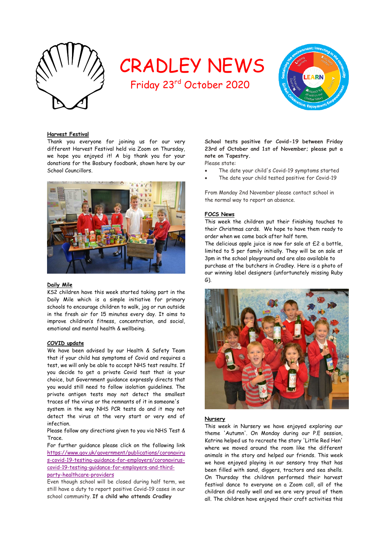

# CRADLEY NEWS

Friday 23rd October 2020



#### **Harvest Festival**

Thank you everyone for joining us for our very different Harvest Festival held via Zoom on Thursday, we hope you enjoyed it! A big thank you for your donations for the Bosbury foodbank, shown here by our School Councillors.



#### **Daily Mile**

KS2 children have this week started taking part in the Daily Mile which is a simple initiative for primary schools to encourage children to walk, jog or run outside in the fresh air for 15 minutes every day. It aims to improve children's fitness, concentration, and social, emotional and mental health & wellbeing.

#### **COVID update**

We have been advised by our Health & Safety Team that if your child has symptoms of Covid and requires a test, we will only be able to accept NHS test results. If you decide to get a private Covid test that is your choice, but Government guidance expressly directs that you would still need to follow isolation guidelines. The private antigen tests may not detect the smallest traces of the virus or the remnants of it in someone's

system in the way NHS PCR tests do and it may not detect the virus at the very start or very end of infection.

Please follow any directions given to you via NHS Test & Trace.

For further guidance please click on the following link [https://www.gov.uk/government/publications/coronaviru](https://www.gov.uk/government/publications/coronavirus-covid-19-testing-guidance-for-employers/coronavirus-covid-19-testing-guidance-for-employers-and-third-party-healthcare-providers) [s-covid-19-testing-guidance-for-employers/coronavirus](https://www.gov.uk/government/publications/coronavirus-covid-19-testing-guidance-for-employers/coronavirus-covid-19-testing-guidance-for-employers-and-third-party-healthcare-providers)[covid-19-testing-guidance-for-employers-and-third](https://www.gov.uk/government/publications/coronavirus-covid-19-testing-guidance-for-employers/coronavirus-covid-19-testing-guidance-for-employers-and-third-party-healthcare-providers)[party-healthcare-providers](https://www.gov.uk/government/publications/coronavirus-covid-19-testing-guidance-for-employers/coronavirus-covid-19-testing-guidance-for-employers-and-third-party-healthcare-providers)

Even though school will be closed during half term, we still have a duty to report positive Covid-19 cases in our school community. **If a child who attends Cradley**

**School tests positive for Covid-19 between Friday 23rd of October and 1st of November; please put a note on Tapestry.** 

Please state:

- The date your child's Covid-19 symptoms started
- The date your child tested positive for Covid-19

From Monday 2nd November please contact school in the normal way to report an absence.

#### **FOCS News**

This week the children put their finishing touches to their Christmas cards. We hope to have them ready to order when we come back after half term.

The delicious apple juice is now for sale at £2 a bottle, limited to 5 per family initially. They will be on sale at 3pm in the school playground and are also available to purchase at the butchers in Cradley. Here is a photo of our winning label designers (unfortunately missing Ruby G).



#### **Nursery**

This week in Nursery we have enjoyed exploring our theme 'Autumn'. On Monday during our P.E session, Katrina helped us to recreate the story 'Little Red Hen' where we moved around the room like the different animals in the story and helped our friends. This week we have enjoyed playing in our sensory tray that has been filled with sand, diggers, tractors and sea shells. On Thursday the children performed their harvest festival dance to everyone on a Zoom call, all of the children did really well and we are very proud of them all. The children have enjoyed their craft activities this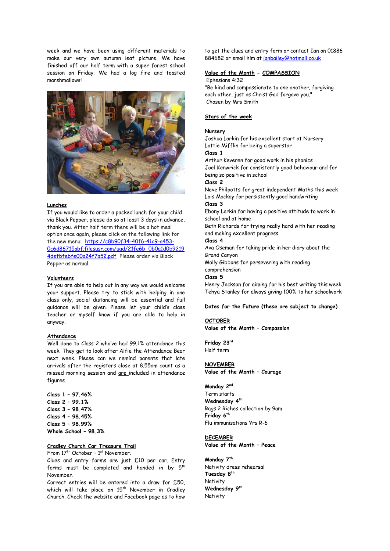week and we have been using different materials to make our very own autumn leaf picture. We have finished off our half term with a super forest school session on Friday. We had a log fire and toasted marshmallows!



#### **Lunches**

If you would like to order a packed lunch for your child via Black Pepper, please do so at least 3 days in advance, thank you. After half term there will be a hot meal option once again, please click on the following link for the new menu: [https://c8b90f34-40f6-41a9-a453-](https://c8b90f34-40f6-41a9-a453-0c6d86715abf.filesusr.com/ugd/21fe6b_0b0a1d0b92194defbfebfe00a24f7a52.pdf) [0c6d86715abf.filesusr.com/ugd/21fe6b\\_0b0a1d0b9219](https://c8b90f34-40f6-41a9-a453-0c6d86715abf.filesusr.com/ugd/21fe6b_0b0a1d0b92194defbfebfe00a24f7a52.pdf) [4defbfebfe00a24f7a52.pdf](https://c8b90f34-40f6-41a9-a453-0c6d86715abf.filesusr.com/ugd/21fe6b_0b0a1d0b92194defbfebfe00a24f7a52.pdf) Please order via Black Pepper as normal.

#### **Volunteers**

If you are able to help out in any way we would welcome your support. Please try to stick with helping in one class only, social distancing will be essential and full guidance will be given. Please let your child's class teacher or myself know if you are able to help in anyway.

#### **Attendance**

Well done to Class 2 who've had 99.1% attendance this week. They get to look after Alfie the Attendance Bear next week. Please can we remind parents that late arrivals after the registers close at 8.55am count as a missed morning session and are included in attendance figures.

**Class 1 – 97.46% Class 2 – 99.1% Class 3 – 98.47% Class 4 – 98.45% Class 5 – 98.99% Whole School – 98.3%**

# **Cradley Church Car Treasure Trail**

From 17<sup>th</sup> October - 1<sup>st</sup> November. Clues and entry forms are just £10 per car. Entry forms must be completed and handed in by 5<sup>th</sup> November.

Correct entries will be entered into a draw for £50, which will take place on  $15^{th}$  November in Cradley Church. Check the website and Facebook page as to how

to get the clues and entry form or contact Ian on 01886 884682 or email him at [ianbailey@hotmail.co.uk](mailto:ianbailey@hotmail.co.uk)

# **Value of the Month - COMPASSION**

#### Ephesians 4:32

"Be kind and compassionate to one another, forgiving each other, just as Christ God forgave you." Chosen by Mrs Smith

#### **Stars of the week**

#### **Nursery**

Joshua Larkin for his excellent start at Nursery Lottie Mifflin for being a superstar **Class 1**

Arthur Keveren for good work in his phonics Joel Kenwrick for consistently good behaviour and for being so positive in school

**Class 2**

Neve Philpotts for great independent Maths this week Lois Mackay for persistently good handwriting **Class 3** 

Ebony Larkin for having a positive attitude to work in school and at home

Beth Richards for trying really hard with her reading and making excellent progress

# **Class 4**

Ava Oseman for taking pride in her diary about the Grand Canyon

Molly Gibbons for persevering with reading

comprehension

## **Class 5**

Henry Jackson for aiming for his best writing this week Tehya Stanley for always giving 100% to her schoolwork

#### **Dates for the Future (these are subject to change)**

#### **OCTOBER**

**Value of the Month – Compassion**

**Friday 23rd** Half term

#### **NOVEMBER**

**Value of the Month – Courage**

#### **Monday 2nd**

Term starts **Wednesday 4th** Rags 2 Riches collection by 9am **Friday 6th** Flu immunisations Yrs R-6

### **DECEMBER**

**Value of the Month – Peace**

**Monday 7th** Nativity dress rehearsal **Tuesday 8th Nativity Wednesday 9th Nativity**